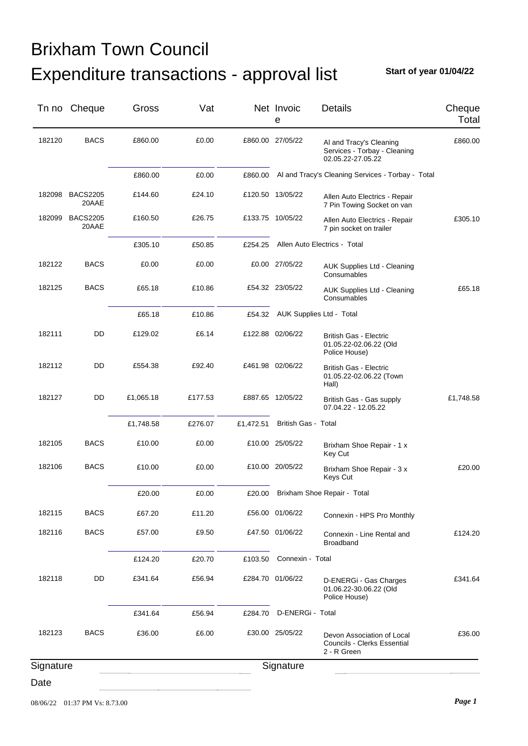**Start of year 01/04/22**

|           | Tn no Cheque             | Gross     | Vat     |           | Net Invoic<br>е            | <b>Details</b>                                                                  | Cheque<br>Total |
|-----------|--------------------------|-----------|---------|-----------|----------------------------|---------------------------------------------------------------------------------|-----------------|
| 182120    | <b>BACS</b>              | £860.00   | £0.00   |           | £860.00 27/05/22           | Al and Tracy's Cleaning<br>Services - Torbay - Cleaning<br>02.05.22-27.05.22    | £860.00         |
|           |                          | £860.00   | £0.00   | £860.00   |                            | Al and Tracy's Cleaning Services - Torbay - Total                               |                 |
| 182098    | <b>BACS2205</b><br>20AAE | £144.60   | £24.10  |           | £120.50 13/05/22           | Allen Auto Electrics - Repair<br>7 Pin Towing Socket on van                     |                 |
| 182099    | <b>BACS2205</b><br>20AAE | £160.50   | £26.75  |           | £133.75 10/05/22           | Allen Auto Electrics - Repair<br>7 pin socket on trailer                        | £305.10         |
|           |                          | £305.10   | £50.85  | £254.25   |                            | Allen Auto Electrics - Total                                                    |                 |
| 182122    | <b>BACS</b>              | £0.00     | £0.00   |           | £0.00 27/05/22             | <b>AUK Supplies Ltd - Cleaning</b><br>Consumables                               |                 |
| 182125    | <b>BACS</b>              | £65.18    | £10.86  |           | £54.32 23/05/22            | <b>AUK Supplies Ltd - Cleaning</b><br>Consumables                               | £65.18          |
|           |                          | £65.18    | £10.86  | £54.32    |                            | AUK Supplies Ltd - Total                                                        |                 |
| 182111    | DD                       | £129.02   | £6.14   |           | £122.88 02/06/22           | <b>British Gas - Electric</b><br>01.05.22-02.06.22 (Old<br>Police House)        |                 |
| 182112    | DD                       | £554.38   | £92.40  |           | £461.98 02/06/22           | British Gas - Electric<br>01.05.22-02.06.22 (Town<br>Hall)                      |                 |
| 182127    | DD                       | £1,065.18 | £177.53 |           | £887.65 12/05/22           | British Gas - Gas supply<br>07.04.22 - 12.05.22                                 | £1,748.58       |
|           |                          | £1,748.58 | £276.07 | £1,472.51 | <b>British Gas - Total</b> |                                                                                 |                 |
| 182105    | <b>BACS</b>              | £10.00    | £0.00   |           | £10.00 25/05/22            | Brixham Shoe Repair - 1 x<br>Key Cut                                            |                 |
| 182106    | <b>BACS</b>              | £10.00    | £0.00   |           | £10.00 20/05/22            | Brixham Shoe Repair - 3 x<br>Keys Cut                                           | £20.00          |
|           |                          | £20.00    | £0.00   | £20.00    |                            | Brixham Shoe Repair - Total                                                     |                 |
| 182115    | <b>BACS</b>              | £67.20    | £11.20  |           | £56.00 01/06/22            | Connexin - HPS Pro Monthly                                                      |                 |
| 182116    | <b>BACS</b>              | £57.00    | £9.50   |           | £47.50 01/06/22            | Connexin - Line Rental and<br><b>Broadband</b>                                  | £124.20         |
|           |                          | £124.20   | £20.70  | £103.50   | Connexin - Total           |                                                                                 |                 |
| 182118    | DD                       | £341.64   | £56.94  |           | £284.70 01/06/22           | D-ENERGi - Gas Charges<br>01.06.22-30.06.22 (Old<br>Police House)               | £341.64         |
|           |                          | £341.64   | £56.94  | £284.70   | D-ENERGi - Total           |                                                                                 |                 |
| 182123    | <b>BACS</b>              | £36.00    | £6.00   |           | £30.00 25/05/22            | Devon Association of Local<br><b>Councils - Clerks Essential</b><br>2 - R Green | £36.00          |
| Signature |                          |           |         |           | Signature                  |                                                                                 |                 |
| Date      |                          |           |         |           |                            |                                                                                 |                 |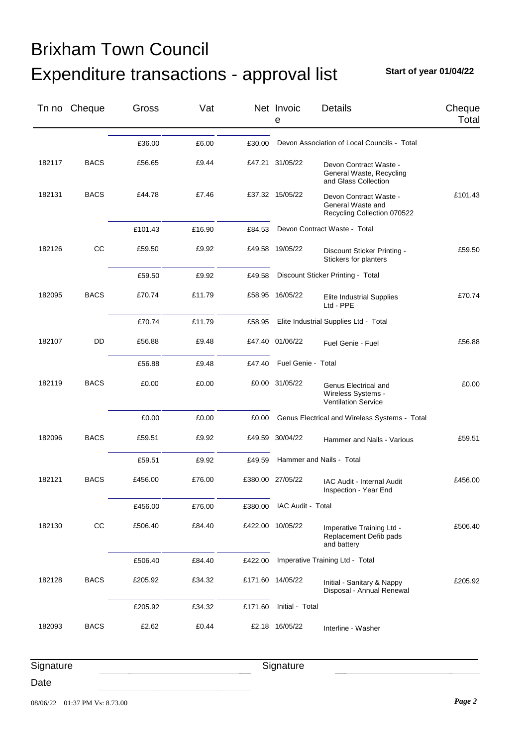**Start of year 01/04/22**

|           | Tn no Cheque | Gross   | Vat    |         | Net Invoic<br>е    | <b>Details</b>                                                             | Cheque<br>Total |
|-----------|--------------|---------|--------|---------|--------------------|----------------------------------------------------------------------------|-----------------|
|           |              | £36.00  | £6.00  | £30.00  |                    | Devon Association of Local Councils - Total                                |                 |
| 182117    | <b>BACS</b>  | £56.65  | £9.44  |         | £47.21 31/05/22    | Devon Contract Waste -<br>General Waste, Recycling<br>and Glass Collection |                 |
| 182131    | <b>BACS</b>  | £44.78  | £7.46  |         | £37.32 15/05/22    | Devon Contract Waste -<br>General Waste and<br>Recycling Collection 070522 | £101.43         |
|           |              | £101.43 | £16.90 | £84.53  |                    | Devon Contract Waste - Total                                               |                 |
| 182126    | CC           | £59.50  | £9.92  |         | £49.58 19/05/22    | Discount Sticker Printing -<br>Stickers for planters                       | £59.50          |
|           |              | £59.50  | £9.92  | £49.58  |                    | Discount Sticker Printing - Total                                          |                 |
| 182095    | <b>BACS</b>  | £70.74  | £11.79 |         | £58.95 16/05/22    | <b>Elite Industrial Supplies</b><br>Ltd - PPE                              | £70.74          |
|           |              | £70.74  | £11.79 | £58.95  |                    | Elite Industrial Supplies Ltd - Total                                      |                 |
| 182107    | DD           | £56.88  | £9.48  |         | £47.40 01/06/22    | Fuel Genie - Fuel                                                          | £56.88          |
|           |              | £56.88  | £9.48  | £47.40  | Fuel Genie - Total |                                                                            |                 |
| 182119    | <b>BACS</b>  | £0.00   | £0.00  |         | £0.00 31/05/22     | Genus Electrical and<br>Wireless Systems -<br><b>Ventilation Service</b>   | £0.00           |
|           |              | £0.00   | £0.00  | £0.00   |                    | Genus Electrical and Wireless Systems - Total                              |                 |
| 182096    | <b>BACS</b>  | £59.51  | £9.92  |         | £49.59 30/04/22    | Hammer and Nails - Various                                                 | £59.51          |
|           |              | £59.51  | £9.92  | £49.59  |                    | Hammer and Nails - Total                                                   |                 |
| 182121    | <b>BACS</b>  | £456.00 | £76.00 |         | £380.00 27/05/22   | IAC Audit - Internal Audit<br>Inspection - Year End                        | £456.00         |
|           |              | £456.00 | £76.00 | £380.00 | IAC Audit - Total  |                                                                            |                 |
| 182130    | CC           | £506.40 | £84.40 |         | £422.00 10/05/22   | Imperative Training Ltd -<br>Replacement Defib pads<br>and battery         | £506.40         |
|           |              | £506.40 | £84.40 | £422.00 |                    | Imperative Training Ltd - Total                                            |                 |
| 182128    | <b>BACS</b>  | £205.92 | £34.32 |         | £171.60 14/05/22   | Initial - Sanitary & Nappy<br>Disposal - Annual Renewal                    | £205.92         |
|           |              | £205.92 | £34.32 | £171.60 | Initial - Total    |                                                                            |                 |
| 182093    | <b>BACS</b>  | £2.62   | £0.44  |         | £2.18 16/05/22     | Interline - Washer                                                         |                 |
| Signature |              |         |        |         | Signature          |                                                                            |                 |

Date

08/06/22 01:37 PM Vs: 8.73.00 *Page 2*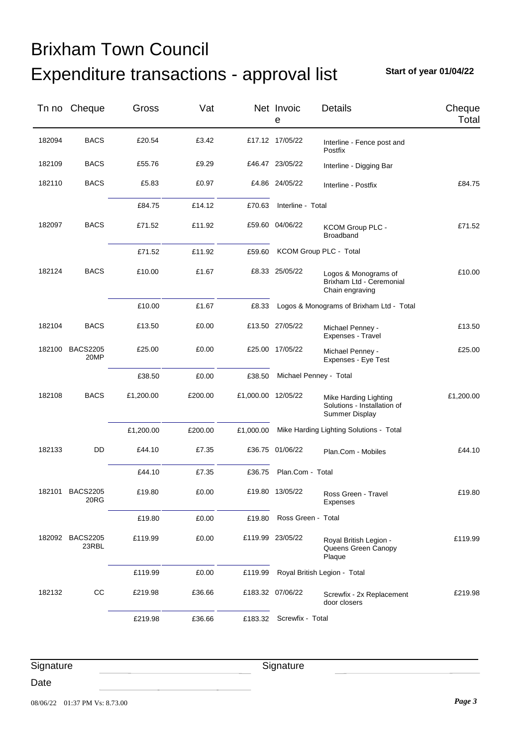**Start of year 01/04/22**

|        | Tn no Cheque             | Gross     | Vat     |                    | Net Invoic<br>e          | Details                                                                | Cheque<br>Total |
|--------|--------------------------|-----------|---------|--------------------|--------------------------|------------------------------------------------------------------------|-----------------|
| 182094 | <b>BACS</b>              | £20.54    | £3.42   |                    | £17.12 17/05/22          | Interline - Fence post and<br>Postfix                                  |                 |
| 182109 | <b>BACS</b>              | £55.76    | £9.29   |                    | £46.47 23/05/22          | Interline - Digging Bar                                                |                 |
| 182110 | <b>BACS</b>              | £5.83     | £0.97   |                    | £4.86 24/05/22           | Interline - Postfix                                                    | £84.75          |
|        |                          | £84.75    | £14.12  | £70.63             | Interline - Total        |                                                                        |                 |
| 182097 | <b>BACS</b>              | £71.52    | £11.92  |                    | £59.60 04/06/22          | <b>KCOM Group PLC -</b><br>Broadband                                   | £71.52          |
|        |                          | £71.52    | £11.92  | £59.60             |                          | KCOM Group PLC - Total                                                 |                 |
| 182124 | <b>BACS</b>              | £10.00    | £1.67   |                    | £8.33 25/05/22           | Logos & Monograms of<br>Brixham Ltd - Ceremonial<br>Chain engraving    | £10.00          |
|        |                          | £10.00    | £1.67   | £8.33              |                          | Logos & Monograms of Brixham Ltd - Total                               |                 |
| 182104 | <b>BACS</b>              | £13.50    | £0.00   |                    | £13.50 27/05/22          | Michael Penney -<br>Expenses - Travel                                  | £13.50          |
| 182100 | <b>BACS2205</b><br>20MP  | £25.00    | £0.00   |                    | £25.00 17/05/22          | Michael Penney -<br>Expenses - Eye Test                                | £25.00          |
|        |                          | £38.50    | £0.00   | £38.50             |                          | Michael Penney - Total                                                 |                 |
| 182108 | <b>BACS</b>              | £1,200.00 | £200.00 | £1,000.00 12/05/22 |                          | Mike Harding Lighting<br>Solutions - Installation of<br>Summer Display | £1,200.00       |
|        |                          | £1,200.00 | £200.00 | £1,000.00          |                          | Mike Harding Lighting Solutions - Total                                |                 |
| 182133 | DD                       | £44.10    | £7.35   |                    | £36.75 01/06/22          | Plan.Com - Mobiles                                                     | £44.10          |
|        |                          | £44.10    | £7.35   | £36.75             | Plan.Com - Total         |                                                                        |                 |
|        | 182101 BACS2205<br>20RG  | £19.80    | £0.00   |                    | £19.80 13/05/22          | Ross Green - Travel<br>Expenses                                        | £19.80          |
|        |                          | £19.80    | £0.00   | £19.80             | Ross Green - Total       |                                                                        |                 |
| 182092 | <b>BACS2205</b><br>23RBL | £119.99   | £0.00   |                    | £119.99 23/05/22         | Royal British Legion -<br>Queens Green Canopy<br>Plaque                | £119.99         |
|        |                          | £119.99   | £0.00   | £119.99            |                          | Royal British Legion - Total                                           |                 |
| 182132 | cc                       | £219.98   | £36.66  |                    | £183.32 07/06/22         | Screwfix - 2x Replacement<br>door closers                              | £219.98         |
|        |                          | £219.98   | £36.66  |                    | £183.32 Screwfix - Total |                                                                        |                 |

**Signature** 

Date

**Signature**